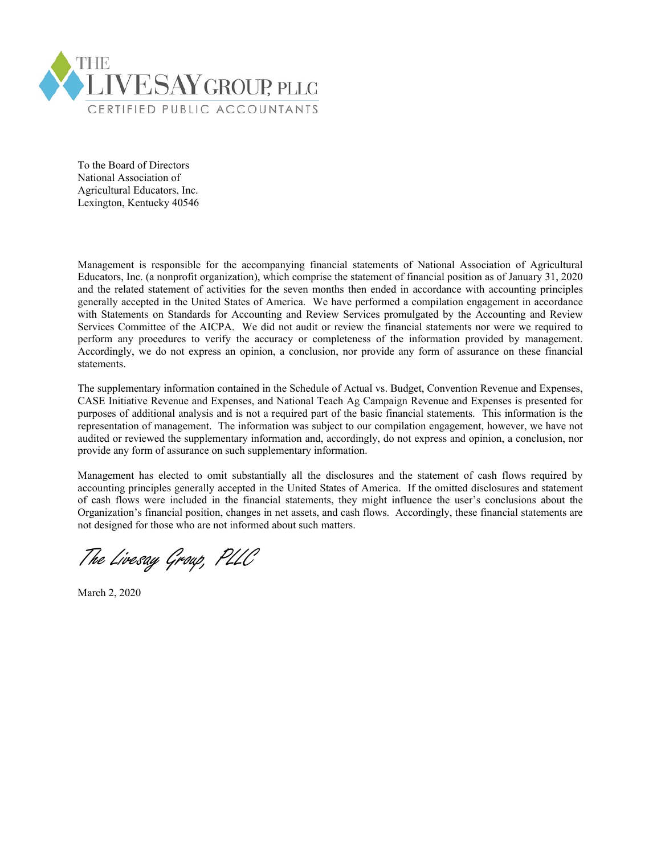

To the Board of Directors National Association of Agricultural Educators, Inc. Lexington, Kentucky 40546

Management is responsible for the accompanying financial statements of National Association of Agricultural Educators, Inc. (a nonprofit organization), which comprise the statement of financial position as of January 31, 2020 and the related statement of activities for the seven months then ended in accordance with accounting principles generally accepted in the United States of America. We have performed a compilation engagement in accordance with Statements on Standards for Accounting and Review Services promulgated by the Accounting and Review Services Committee of the AICPA. We did not audit or review the financial statements nor were we required to perform any procedures to verify the accuracy or completeness of the information provided by management. Accordingly, we do not express an opinion, a conclusion, nor provide any form of assurance on these financial statements.

The supplementary information contained in the Schedule of Actual vs. Budget, Convention Revenue and Expenses, CASE Initiative Revenue and Expenses, and National Teach Ag Campaign Revenue and Expenses is presented for purposes of additional analysis and is not a required part of the basic financial statements. This information is the representation of management. The information was subject to our compilation engagement, however, we have not audited or reviewed the supplementary information and, accordingly, do not express and opinion, a conclusion, nor provide any form of assurance on such supplementary information.

Management has elected to omit substantially all the disclosures and the statement of cash flows required by accounting principles generally accepted in the United States of America. If the omitted disclosures and statement of cash flows were included in the financial statements, they might influence the user's conclusions about the Organization's financial position, changes in net assets, and cash flows. Accordingly, these financial statements are not designed for those who are not informed about such matters.

The Livesay Group, PLLC

March 2, 2020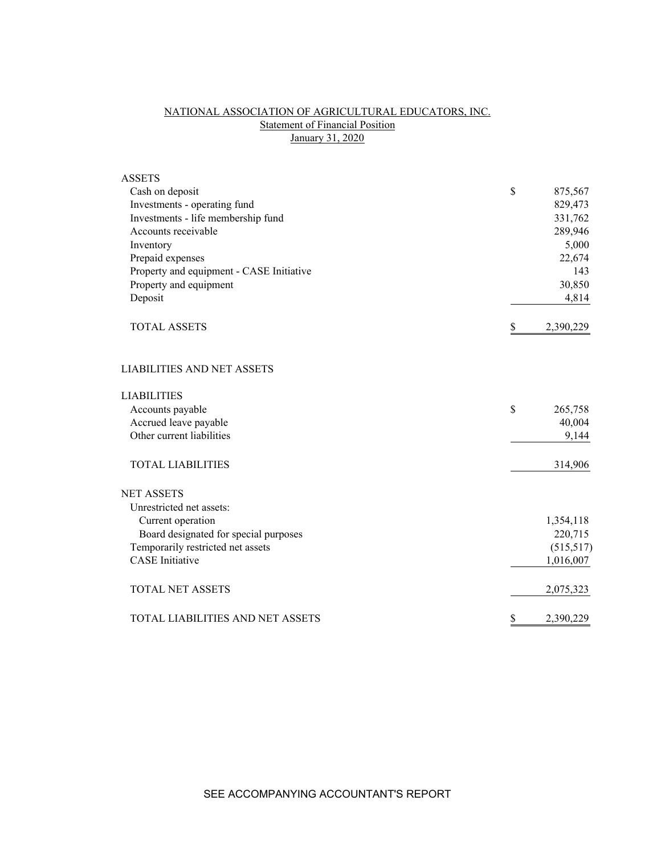# NATIONAL ASSOCIATION OF AGRICULTURAL EDUCATORS, INC. **Statement of Financial Position** January 31, 2020

| <b>ASSETS</b>                            |                 |
|------------------------------------------|-----------------|
| Cash on deposit                          | \$<br>875,567   |
| Investments - operating fund             | 829,473         |
| Investments - life membership fund       | 331,762         |
| Accounts receivable                      | 289,946         |
| Inventory                                | 5,000           |
| Prepaid expenses                         | 22,674          |
| Property and equipment - CASE Initiative | 143             |
| Property and equipment                   | 30,850          |
| Deposit                                  | 4,814           |
| <b>TOTAL ASSETS</b>                      | \$<br>2,390,229 |
| <b>LIABILITIES AND NET ASSETS</b>        |                 |
| <b>LIABILITIES</b>                       |                 |
| Accounts payable                         | \$<br>265,758   |
| Accrued leave payable                    | 40,004          |
| Other current liabilities                | 9,144           |
| <b>TOTAL LIABILITIES</b>                 | 314,906         |
| <b>NET ASSETS</b>                        |                 |
| Unrestricted net assets:                 |                 |
| Current operation                        | 1,354,118       |
| Board designated for special purposes    | 220,715         |
| Temporarily restricted net assets        | (515,517)       |
| <b>CASE</b> Initiative                   | 1,016,007       |
| <b>TOTAL NET ASSETS</b>                  | 2,075,323       |
| TOTAL LIABILITIES AND NET ASSETS         | \$<br>2,390,229 |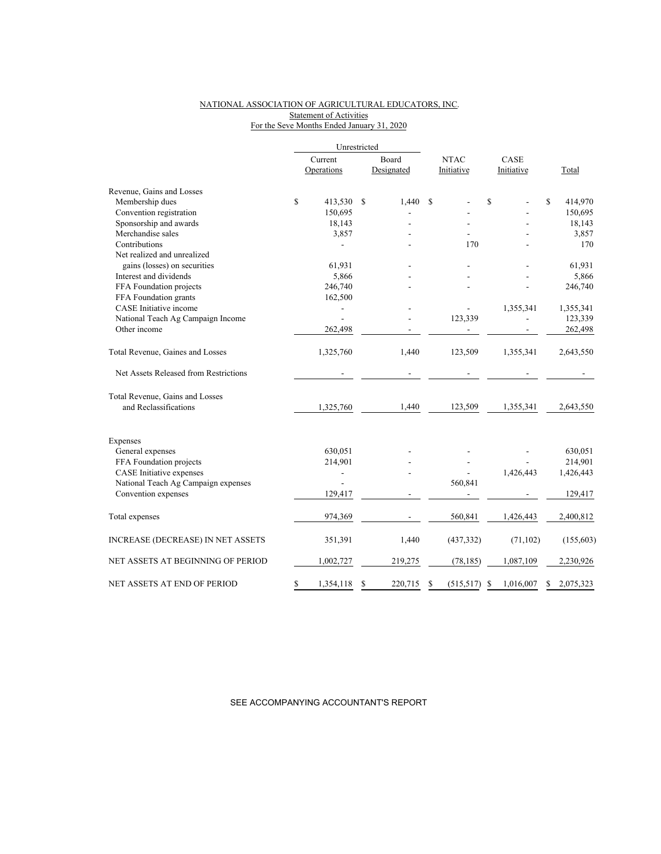## NATIONAL ASSOCIATION OF AGRICULTURAL EDUCATORS, INC. Statement of Activities For the Seve Months Ended January 31, 2020

|                                                          |         | Unrestricted   |               |             |            |      |            |             |           |
|----------------------------------------------------------|---------|----------------|---------------|-------------|------------|------|------------|-------------|-----------|
|                                                          | Current |                | Board         | <b>NTAC</b> |            | CASE |            |             |           |
|                                                          |         | Operations     | Designated    |             | Initiative |      | Initiative |             | Total     |
| Revenue, Gains and Losses                                |         |                |               |             |            |      |            |             |           |
| Membership dues                                          | \$      | 413,530        | \$<br>1,440   | S           |            | \$   |            | $\mathbf S$ | 414,970   |
| Convention registration                                  |         | 150,695        |               |             |            |      |            |             | 150,695   |
| Sponsorship and awards                                   |         | 18,143         |               |             |            |      |            |             | 18,143    |
| Merchandise sales                                        |         | 3,857          |               |             |            |      |            |             | 3,857     |
| Contributions                                            |         |                |               |             | 170        |      |            |             | 170       |
| Net realized and unrealized                              |         |                |               |             |            |      |            |             |           |
| gains (losses) on securities                             |         | 61,931         |               |             |            |      |            |             | 61,931    |
| Interest and dividends                                   |         | 5,866          |               |             |            |      |            |             | 5,866     |
| FFA Foundation projects                                  |         | 246,740        |               |             |            |      |            |             | 246,740   |
| FFA Foundation grants                                    |         | 162,500        |               |             |            |      |            |             |           |
| CASE Initiative income                                   |         | $\overline{a}$ |               |             |            |      | 1,355,341  |             | 1,355,341 |
| National Teach Ag Campaign Income                        |         |                |               |             | 123,339    |      |            |             | 123,339   |
| Other income                                             |         | 262,498        |               |             |            |      |            |             | 262,498   |
| Total Revenue, Gaines and Losses                         |         | 1,325,760      | 1,440         |             | 123,509    |      | 1,355,341  |             | 2,643,550 |
| Net Assets Released from Restrictions                    |         |                |               |             |            |      |            |             |           |
| Total Revenue, Gains and Losses<br>and Reclassifications |         | 1,325,760      | 1,440         |             | 123,509    |      | 1,355,341  |             | 2,643,550 |
| Expenses                                                 |         |                |               |             |            |      |            |             |           |
| General expenses                                         |         | 630,051        |               |             |            |      |            |             | 630,051   |
| FFA Foundation projects                                  |         | 214,901        |               |             |            |      |            |             | 214,901   |
| CASE Initiative expenses                                 |         |                |               |             |            |      | 1,426,443  |             | 1,426,443 |
| National Teach Ag Campaign expenses                      |         |                |               |             | 560,841    |      |            |             |           |
| Convention expenses                                      |         | 129,417        |               |             |            |      |            |             | 129,417   |
|                                                          |         |                |               |             |            |      |            |             |           |
| Total expenses                                           |         | 974,369        |               |             | 560,841    |      | 1,426,443  |             | 2,400,812 |
| <b>INCREASE (DECREASE) IN NET ASSETS</b>                 |         | 351,391        | 1,440         |             | (437, 332) |      | (71, 102)  |             | (155,603) |
| NET ASSETS AT BEGINNING OF PERIOD                        |         | 1,002,727      | 219,275       |             | (78, 185)  |      | 1,087,109  |             | 2,230,926 |
| NET ASSETS AT END OF PERIOD                              | \$      | 1,354,118      | \$<br>220,715 | \$          | (515,517)  | \$   | 1,016,007  | S           | 2,075,323 |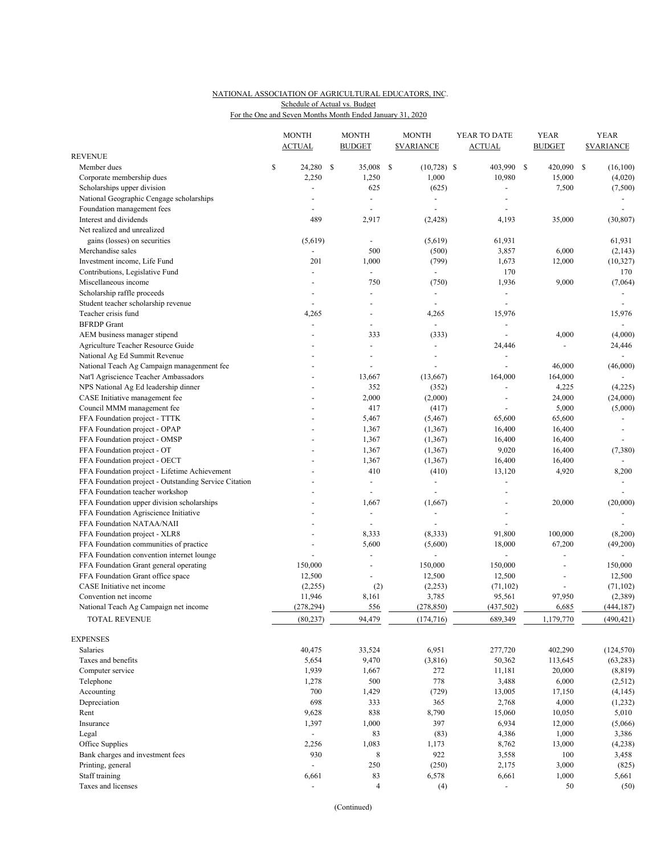## NATIONAL ASSOCIATION OF AGRICULTURAL EDUCATORS, INC. For the One and Seven Months Month Ended January 31, 2020 Schedule of Actual vs. Budget

|                                                       | <b>MONTH</b><br><b>ACTUAL</b> |      | <b>MONTH</b><br><b>BUDGET</b> |    | <b>MONTH</b><br><b><i>SVARIANCE</i></b> | YEAR TO DATE<br><b>ACTUAL</b> | <b>YEAR</b><br><b>BUDGET</b> | <b>YEAR</b><br><b><i>SVARIANCE</i></b> |
|-------------------------------------------------------|-------------------------------|------|-------------------------------|----|-----------------------------------------|-------------------------------|------------------------------|----------------------------------------|
| <b>REVENUE</b>                                        |                               |      |                               |    |                                         |                               |                              |                                        |
| Member dues                                           | \$<br>24,280                  | - \$ | 35,008                        | -S | $(10,728)$ \$                           | 403,990                       | \$<br>420,090                | \$<br>(16,100)                         |
| Corporate membership dues                             | 2,250                         |      | 1,250                         |    | 1,000                                   | 10,980                        | 15,000                       | (4,020)                                |
| Scholarships upper division                           |                               |      | 625                           |    | (625)                                   |                               | 7,500                        | (7,500)                                |
| National Geographic Cengage scholarships              |                               |      | $\blacksquare$                |    | $\overline{\phantom{a}}$                |                               |                              |                                        |
| Foundation management fees                            |                               |      |                               |    | ÷,                                      | ÷,                            |                              |                                        |
| Interest and dividends                                | 489                           |      | 2,917                         |    | (2, 428)                                | 4,193                         | 35,000                       | (30, 807)                              |
| Net realized and unrealized                           |                               |      |                               |    |                                         |                               |                              |                                        |
| gains (losses) on securities                          | (5,619)                       |      |                               |    | (5,619)                                 | 61,931                        |                              | 61,931                                 |
| Merchandise sales                                     | $\blacksquare$                |      | 500                           |    | (500)                                   | 3,857                         | 6,000                        | (2, 143)                               |
| Investment income, Life Fund                          | 201                           |      | 1,000                         |    | (799)                                   | 1,673                         | 12,000                       | (10, 327)                              |
| Contributions, Legislative Fund                       | $\overline{a}$                |      | $\blacksquare$                |    | $\blacksquare$                          | 170                           |                              | 170                                    |
| Miscellaneous income                                  |                               |      | 750                           |    | (750)                                   | 1,936                         | 9,000                        | (7,064)                                |
| Scholarship raffle proceeds                           |                               |      |                               |    | $\overline{\phantom{a}}$                | $\overline{\phantom{a}}$      |                              |                                        |
| Student teacher scholarship revenue                   |                               |      |                               |    |                                         | ÷,                            |                              |                                        |
| Teacher crisis fund                                   | 4,265                         |      |                               |    | 4,265                                   | 15,976                        |                              | 15,976                                 |
| <b>BFRDP</b> Grant                                    | $\sim$                        |      |                               |    | $\overline{a}$                          | ÷,                            |                              | $\blacksquare$                         |
| AEM business manager stipend                          |                               |      | 333                           |    | (333)                                   | $\blacksquare$                | 4,000                        | (4,000)                                |
| Agriculture Teacher Resource Guide                    |                               |      | $\overline{\phantom{a}}$      |    | $\overline{\phantom{a}}$                | 24,446                        | $\overline{a}$               | 24,446                                 |
| National Ag Ed Summit Revenue                         |                               |      |                               |    |                                         |                               |                              |                                        |
| National Teach Ag Campaign managenment fee            |                               |      |                               |    |                                         |                               | 46,000                       | (46,000)                               |
| Nat'l Agriscience Teacher Ambassadors                 |                               |      | 13,667                        |    | (13,667)                                | 164,000                       | 164,000                      |                                        |
| NPS National Ag Ed leadership dinner                  |                               |      | 352                           |    | (352)                                   | $\overline{\phantom{a}}$      | 4,225                        | (4,225)                                |
| CASE Initiative management fee                        |                               |      | 2,000                         |    | (2,000)                                 | $\overline{\phantom{a}}$      | 24,000                       | (24,000)                               |
| Council MMM management fee                            |                               |      | 417                           |    | (417)                                   |                               | 5,000                        | (5,000)                                |
| FFA Foundation project - TTTK                         |                               |      | 5,467                         |    | (5, 467)                                | 65,600                        | 65,600                       |                                        |
| FFA Foundation project - OPAP                         |                               |      | 1,367                         |    | (1, 367)                                | 16,400                        | 16,400                       | $\overline{\phantom{a}}$               |
| FFA Foundation project - OMSP                         |                               |      | 1,367                         |    | (1, 367)                                | 16,400                        | 16,400                       |                                        |
| FFA Foundation project - OT                           |                               |      | 1,367                         |    | (1, 367)                                | 9,020                         | 16,400                       | (7,380)                                |
| FFA Foundation project - OECT                         |                               |      | 1,367                         |    | (1, 367)                                | 16,400                        | 16,400                       |                                        |
| FFA Foundation project - Lifetime Achievement         |                               |      | 410                           |    | (410)                                   | 13,120                        | 4,920                        | 8,200                                  |
| FFA Foundation project - Outstanding Service Citation |                               |      | $\blacksquare$                |    | $\blacksquare$                          | $\blacksquare$                |                              |                                        |
| FFA Foundation teacher workshop                       |                               |      |                               |    |                                         | ÷,                            |                              |                                        |
| FFA Foundation upper division scholarships            |                               |      | 1,667                         |    | (1,667)                                 |                               | 20,000                       | (20,000)                               |
| FFA Foundation Agriscience Initiative                 |                               |      | $\overline{\phantom{a}}$      |    | $\sim$                                  | ÷,                            |                              |                                        |
| FFA Foundation NATAA/NAII                             |                               |      |                               |    |                                         | $\overline{a}$                |                              |                                        |
| FFA Foundation project - XLR8                         |                               |      | 8,333                         |    | (8, 333)                                | 91,800                        | 100,000                      | (8,200)                                |
| FFA Foundation communities of practice                |                               |      | 5,600                         |    | (5,600)                                 | 18,000                        | 67,200                       | (49,200)                               |
| FFA Foundation convention internet lounge             | $\overline{a}$                |      |                               |    | $\bar{a}$                               | $\overline{a}$                | $\overline{a}$               | $\overline{\phantom{a}}$               |
| FFA Foundation Grant general operating                | 150,000                       |      |                               |    | 150,000                                 | 150,000                       | L,                           | 150,000                                |
| FFA Foundation Grant office space                     | 12,500                        |      |                               |    | 12,500                                  | 12,500                        |                              | 12,500                                 |
| CASE Initiative net income                            | (2,255)                       |      | (2)                           |    | (2,253)                                 | (71, 102)                     | $\overline{a}$               | (71, 102)                              |
| Convention net income                                 | 11,946                        |      | 8,161                         |    | 3,785                                   | 95,561                        | 97,950                       | (2,389)                                |
| National Teach Ag Campaign net income                 | (278, 294)                    |      | 556                           |    | (278, 850)                              | (437, 502)                    | 6,685                        | (444, 187)                             |
| TOTAL REVENUE                                         | (80, 237)                     |      | 94,479                        |    | (174, 716)                              | 689,349                       | 1,179,770                    | (490, 421)                             |
|                                                       |                               |      |                               |    |                                         |                               |                              |                                        |
| <b>EXPENSES</b>                                       |                               |      |                               |    |                                         |                               |                              |                                        |
| Salaries                                              | 40,475                        |      | 33,524                        |    | 6,951                                   | 277,720                       | 402,290                      | (124, 570)                             |
| Taxes and benefits                                    | 5,654                         |      | 9,470                         |    | (3,816)                                 | 50,362                        | 113,645                      | (63, 283)                              |
| Computer service                                      | 1,939                         |      | 1,667                         |    | 272                                     | 11,181                        | 20,000                       | (8, 819)                               |
| Telephone                                             | 1,278                         |      | 500                           |    | 778                                     | 3,488                         | 6,000                        | (2,512)                                |
| Accounting                                            | 700                           |      | 1,429                         |    | (729)                                   | 13,005                        | 17,150                       | (4, 145)                               |
| Depreciation                                          | 698                           |      | 333                           |    | 365                                     | 2,768                         | 4,000                        | (1,232)                                |
| Rent                                                  | 9,628                         |      | 838                           |    | 8,790                                   | 15,060                        | 10,050                       | 5,010                                  |
| Insurance                                             | 1,397                         |      | 1,000                         |    | 397                                     | 6,934                         | 12,000                       | (5,066)                                |
| Legal                                                 | $\frac{1}{2}$                 |      | 83                            |    | (83)                                    | 4,386                         | 1,000                        | 3,386                                  |
| Office Supplies                                       | 2,256                         |      | 1,083                         |    | 1,173                                   | 8,762                         | 13,000                       | (4,238)                                |
| Bank charges and investment fees                      | 930                           |      | $\,8\,$                       |    | 922                                     | 3,558                         | 100                          | 3,458                                  |
| Printing, general                                     | $\blacksquare$                |      | 250                           |    | (250)                                   | 2,175                         | 3,000                        | (825)                                  |
| Staff training                                        | 6,661                         |      | 83                            |    | 6,578                                   | 6,661                         | 1,000                        | 5,661                                  |
| Taxes and licenses                                    | ÷,                            |      | $\overline{4}$                |    | (4)                                     | $\overline{\phantom{a}}$      | 50                           | (50)                                   |

(Continued)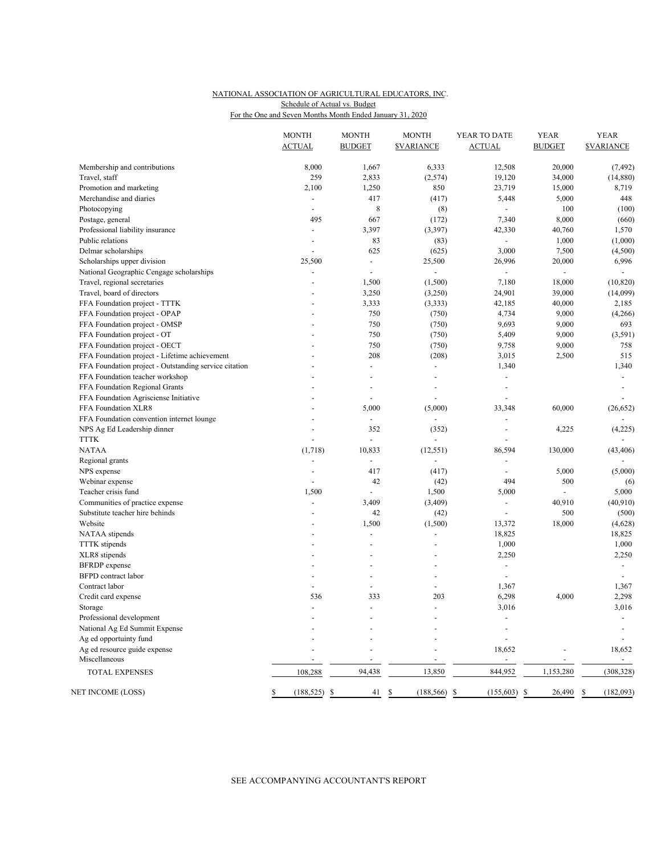## NATIONAL ASSOCIATION OF AGRICULTURAL EDUCATORS, INC. For the One and Seven Months Month Ended January 31, 2020 Schedule of Actual vs. Budget

|                                                       | <b>MONTH</b><br><b>ACTUAL</b> | <b>MONTH</b><br><b>BUDGET</b> | <b>MONTH</b><br><b><i>SVARIANCE</i></b> | YEAR TO DATE<br><b>ACTUAL</b> | <b>YEAR</b><br><b>BUDGET</b> | <b>YEAR</b><br><b><i>SVARIANCE</i></b> |
|-------------------------------------------------------|-------------------------------|-------------------------------|-----------------------------------------|-------------------------------|------------------------------|----------------------------------------|
|                                                       |                               |                               |                                         |                               |                              |                                        |
| Membership and contributions                          | 8,000                         | 1,667                         | 6,333                                   | 12,508                        | 20,000                       | (7, 492)                               |
| Travel, staff                                         | 259                           | 2,833                         | (2,574)                                 | 19,120                        | 34,000                       | (14,880)                               |
| Promotion and marketing                               | 2,100                         | 1,250                         | 850                                     | 23,719                        | 15,000                       | 8,719                                  |
| Merchandise and diaries                               | $\overline{\phantom{a}}$      | 417                           | (417)                                   | 5,448                         | 5,000                        | 448                                    |
| Photocopying                                          | ÷,                            | 8                             | (8)                                     | $\omega$                      | 100                          | (100)                                  |
| Postage, general                                      | 495                           | 667                           | (172)                                   | 7,340                         | 8,000                        | (660)                                  |
| Professional liability insurance                      | $\overline{\phantom{a}}$      | 3,397                         | (3, 397)                                | 42,330                        | 40,760                       | 1,570                                  |
| Public relations                                      | ÷,                            | 83                            | (83)                                    | $\sim$                        | 1,000                        | (1,000)                                |
| Delmar scholarships                                   | $\blacksquare$                | 625                           | (625)                                   | 3,000                         | 7,500                        | (4,500)                                |
| Scholarships upper division                           | 25,500                        | $\overline{\phantom{a}}$      | 25,500                                  | 26,996                        | 20,000                       | 6,996                                  |
| National Geographic Cengage scholarships              | ÷,                            | $\blacksquare$                | $\blacksquare$                          | $\overline{\phantom{a}}$      | $\overline{a}$               | $\sim$                                 |
| Travel, regional secretaries                          | ÷,                            | 1,500                         | (1,500)                                 | 7,180                         | 18,000                       | (10, 820)                              |
| Travel, board of directors                            |                               | 3,250                         | (3,250)                                 | 24,901                        | 39,000                       | (14,099)                               |
| FFA Foundation project - TTTK                         |                               | 3,333                         | (3,333)                                 | 42,185                        | 40,000                       | 2,185                                  |
| FFA Foundation project - OPAP                         | ÷,                            | 750                           | (750)                                   | 4,734                         | 9,000                        | (4,266)                                |
| FFA Foundation project - OMSP                         |                               | 750                           | (750)                                   | 9,693                         | 9,000                        | 693                                    |
| FFA Foundation project - OT                           |                               | 750                           | (750)                                   | 5,409                         | 9,000                        | (3,591)                                |
| FFA Foundation project - OECT                         |                               | 750                           | (750)                                   | 9,758                         | 9,000                        | 758                                    |
| FFA Foundation project - Lifetime achievement         |                               | 208                           | (208)                                   | 3,015                         | 2,500                        | 515                                    |
| FFA Foundation project - Outstanding service citation |                               | $\overline{\phantom{a}}$      | $\overline{\phantom{a}}$                | 1,340                         |                              | 1,340                                  |
| FFA Foundation teacher workshop                       | ÷,                            | $\overline{\phantom{a}}$      | $\overline{\phantom{a}}$                | $\sim$                        |                              | $\blacksquare$                         |
| FFA Foundation Regional Grants                        |                               | ÷,                            |                                         | ÷,                            |                              |                                        |
| FFA Foundation Agrisciense Initiative                 | ÷                             | $\blacksquare$                | $\overline{\phantom{a}}$                | ÷,                            |                              |                                        |
| FFA Foundation XLR8                                   |                               | 5,000                         | (5,000)                                 | 33,348                        | 60,000                       | (26, 652)                              |
| FFA Foundation convention internet lounge             | ÷,                            | $\overline{\phantom{a}}$      | $\blacksquare$                          |                               |                              |                                        |
| NPS Ag Ed Leadership dinner                           | ÷,                            | 352                           | (352)                                   | $\sim$                        | 4,225                        | (4,225)                                |
| TTTK                                                  |                               | $\overline{a}$                | $\overline{a}$                          |                               |                              | $\overline{\phantom{a}}$               |
| <b>NATAA</b>                                          | (1,718)                       | 10,833                        | (12, 551)                               | 86,594                        | 130,000                      | (43, 406)                              |
| Regional grants                                       | $\blacksquare$                | $\overline{\phantom{a}}$      |                                         | ÷,                            |                              |                                        |
| NPS expense                                           | $\overline{\phantom{a}}$      | 417                           | (417)                                   |                               | 5,000                        | (5,000)                                |
| Webinar expense                                       | ÷.                            | 42                            | (42)                                    | 494                           | 500                          | (6)                                    |
| Teacher crisis fund                                   | 1,500                         | ÷,                            | 1,500                                   | 5,000                         | ÷,                           | 5,000                                  |
| Communities of practice expense                       | $\overline{a}$                | 3,409                         | (3,409)                                 | $\sim$                        | 40,910                       | (40, 910)                              |
| Substitute teacher hire behinds                       | ÷,                            | 42                            | (42)                                    | $\blacksquare$                | 500                          | (500)                                  |
| Website                                               |                               | 1,500                         | (1,500)                                 | 13,372                        | 18,000                       | (4,628)                                |
| NATAA stipends                                        | $\overline{a}$                | $\overline{a}$                | $\blacksquare$                          | 18,825                        |                              | 18,825                                 |
| <b>TTTK</b> stipends                                  |                               | L,                            |                                         | 1,000                         |                              | 1,000                                  |
| XLR8 stipends                                         |                               | ÷,                            | ÷,                                      | 2,250                         |                              | 2,250                                  |
| <b>BFRDP</b> expense                                  |                               | ÷,                            | $\overline{\phantom{a}}$                | $\overline{\phantom{a}}$      |                              | $\blacksquare$                         |
| <b>BFPD</b> contract labor                            | ÷,                            | ÷,                            |                                         | $\sim$                        |                              | $\sim$                                 |
| Contract labor                                        | $\overline{a}$                | ÷,                            | ÷,                                      | 1,367                         |                              | 1,367                                  |
| Credit card expense                                   | 536                           | 333                           | 203                                     | 6,298                         | 4,000                        | 2,298                                  |
| Storage                                               | $\overline{\phantom{a}}$      | ÷,                            | $\overline{\phantom{a}}$                | 3,016                         |                              | 3,016                                  |
| Professional development                              |                               |                               |                                         |                               |                              |                                        |
| National Ag Ed Summit Expense                         |                               |                               |                                         |                               |                              |                                        |
| Ag ed opportuinty fund                                |                               |                               |                                         |                               |                              |                                        |
| Ag ed resource guide expense                          |                               |                               |                                         | 18,652                        |                              | 18,652                                 |
| Miscellaneous                                         |                               |                               |                                         |                               |                              |                                        |
| TOTAL EXPENSES                                        | 108,288                       | 94,438                        | 13,850                                  | 844,952                       | 1,153,280                    | (308, 328)                             |
| NET INCOME (LOSS)                                     | $(188, 525)$ \$               | 41                            | $(188, 566)$ \$<br>\$                   | $(155,603)$ \$                | 26,490 \$                    | (182,093)                              |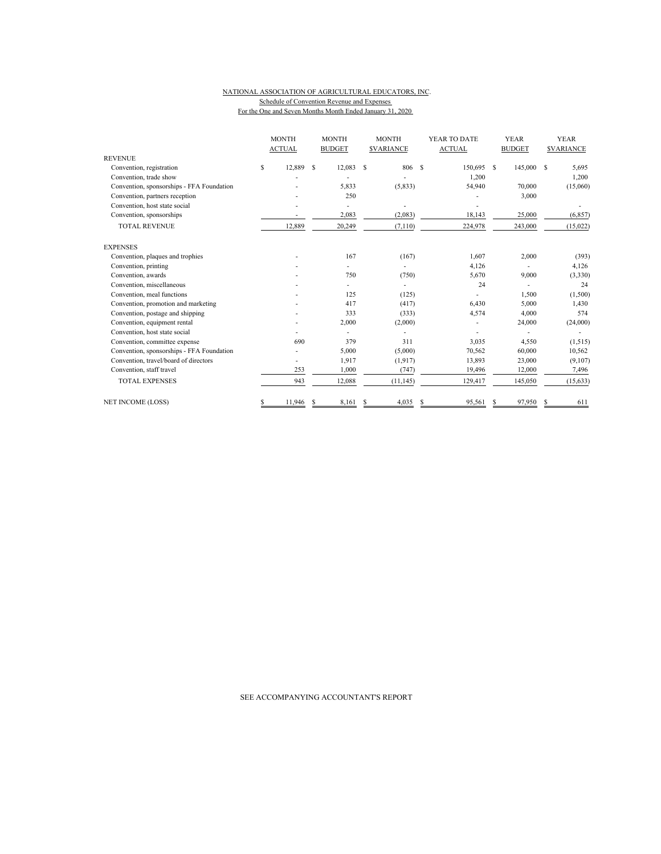#### NATIONAL ASSOCIATION OF AGRICULTURAL EDUCATORS, INC. Schedule of Convention Revenue and Expenses For the One and Seven Months Month Ended January 31, 2020

|                                           | <b>MONTH</b><br><b>ACTUAL</b> |        | <b>MONTH</b><br><b>BUDGET</b> |        | <b>MONTH</b><br><b><i>SVARIANCE</i></b> |           | YEAR TO DATE<br><b>ACTUAL</b> |         |   | <b>YEAR</b><br><b>BUDGET</b> |   | <b>YEAR</b><br><b>SVARIANCE</b> |
|-------------------------------------------|-------------------------------|--------|-------------------------------|--------|-----------------------------------------|-----------|-------------------------------|---------|---|------------------------------|---|---------------------------------|
| <b>REVENUE</b>                            |                               |        |                               |        |                                         |           |                               |         |   |                              |   |                                 |
| Convention, registration                  | \$                            | 12,889 | S                             | 12,083 | S                                       | 806       | <sup>\$</sup>                 | 150,695 | S | 145,000                      | S | 5,695                           |
| Convention, trade show                    |                               |        |                               |        |                                         |           |                               | 1,200   |   |                              |   | 1,200                           |
| Convention, sponsorships - FFA Foundation |                               |        |                               | 5,833  |                                         | (5,833)   |                               | 54,940  |   | 70,000                       |   | (15,060)                        |
| Convention, partners reception            |                               |        |                               | 250    |                                         |           |                               |         |   | 3,000                        |   |                                 |
| Convention, host state social             |                               |        |                               |        |                                         |           |                               |         |   |                              |   |                                 |
| Convention, sponsorships                  |                               |        |                               | 2,083  |                                         | (2,083)   |                               | 18,143  |   | 25,000                       |   | (6, 857)                        |
| <b>TOTAL REVENUE</b>                      |                               | 12,889 |                               | 20,249 |                                         | (7, 110)  |                               | 224,978 |   | 243,000                      |   | (15,022)                        |
| <b>EXPENSES</b>                           |                               |        |                               |        |                                         |           |                               |         |   |                              |   |                                 |
| Convention, plaques and trophies          |                               |        |                               | 167    |                                         | (167)     |                               | 1,607   |   | 2,000                        |   | (393)                           |
| Convention, printing                      |                               |        |                               |        |                                         |           |                               | 4,126   |   |                              |   | 4,126                           |
| Convention, awards                        |                               |        |                               | 750    |                                         | (750)     |                               | 5,670   |   | 9,000                        |   | (3,330)                         |
| Convention, miscellaneous                 |                               |        |                               |        |                                         |           |                               | 24      |   |                              |   | 24                              |
| Convention, meal functions                |                               |        |                               | 125    |                                         | (125)     |                               |         |   | 1,500                        |   | (1,500)                         |
| Convention, promotion and marketing       |                               |        |                               | 417    |                                         | (417)     |                               | 6,430   |   | 5,000                        |   | 1,430                           |
| Convention, postage and shipping          |                               |        |                               | 333    |                                         | (333)     |                               | 4,574   |   | 4,000                        |   | 574                             |
| Convention, equipment rental              |                               |        |                               | 2,000  |                                         | (2,000)   |                               |         |   | 24,000                       |   | (24,000)                        |
| Convention, host state social             |                               |        |                               |        |                                         |           |                               |         |   |                              |   |                                 |
| Convention, committee expense             |                               | 690    |                               | 379    |                                         | 311       |                               | 3,035   |   | 4,550                        |   | (1,515)                         |
| Convention, sponsorships - FFA Foundation |                               |        |                               | 5,000  |                                         | (5,000)   |                               | 70,562  |   | 60,000                       |   | 10,562                          |
| Convention, travel/board of directors     |                               |        |                               | 1,917  |                                         | (1,917)   |                               | 13,893  |   | 23,000                       |   | (9,107)                         |
| Convention, staff travel                  |                               | 253    |                               | 1,000  |                                         | (747)     |                               | 19,496  |   | 12,000                       |   | 7,496                           |
| <b>TOTAL EXPENSES</b>                     |                               | 943    |                               | 12,088 |                                         | (11, 145) |                               | 129,417 |   | 145,050                      |   | (15, 633)                       |
| <b>NET INCOME (LOSS)</b>                  | \$                            | 11,946 |                               | 8,161  | S                                       | 4,035     | S                             | 95,561  | S | 97,950                       | S | 611                             |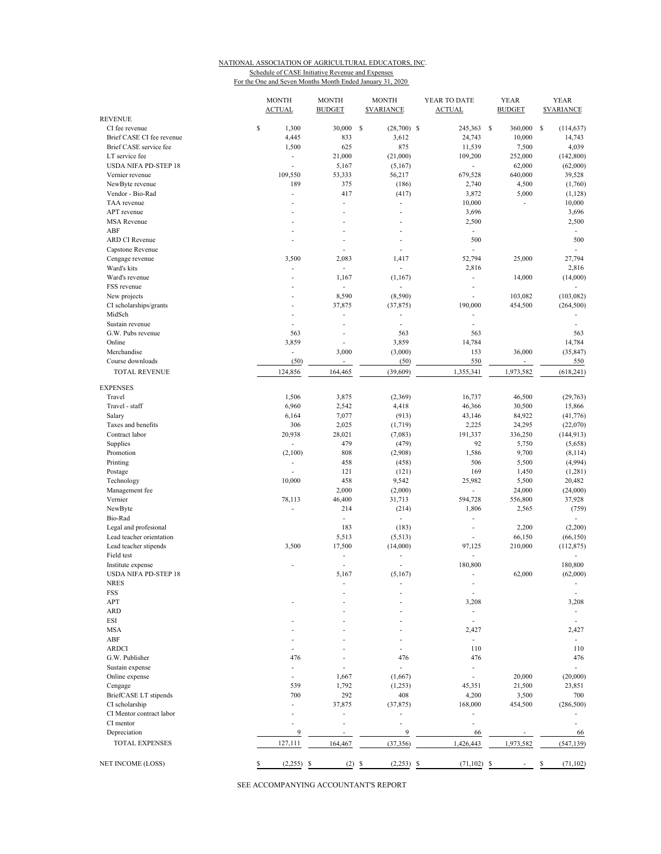#### NATIONAL ASSOCIATION OF AGRICULTURAL EDUCATORS, INC. Schedule of CASE Initiative Revenue and Expenses For the One and Seven Months Month Ended January 31, 2020

|                                               | <b>MONTH</b><br><b>ACTUAL</b>  | <b>MONTH</b><br><b>BUDGET</b> | <b>MONTH</b><br><b>SVARIANCE</b> | YEAR TO DATE<br><b>ACTUAL</b> | <b>YEAR</b><br><b>BUDGET</b> | <b>YEAR</b><br><b><i>SVARIANCE</i></b> |
|-----------------------------------------------|--------------------------------|-------------------------------|----------------------------------|-------------------------------|------------------------------|----------------------------------------|
| <b>REVENUE</b>                                |                                |                               |                                  |                               |                              |                                        |
| CI fee revenue                                | \$<br>1,300                    | 30,000                        | s<br>$(28,700)$ \$               | 245,363                       | - \$<br>360,000              | <sup>\$</sup><br>(114, 637)            |
| Brief CASE CI fee revenue                     | 4,445                          | 833                           | 3,612<br>875                     | 24,743                        | 10,000                       | 14,743                                 |
| Brief CASE service fee                        | 1,500                          | 625                           |                                  | 11,539                        | 7,500                        | 4,039                                  |
| LT service fee<br><b>USDA NIFA PD-STEP 18</b> | $\overline{\phantom{a}}$<br>÷, | 21,000<br>5,167               | (21,000)<br>(5,167)              | 109,200<br>÷,                 | 252,000<br>62,000            | (142, 800)<br>(62,000)                 |
| Vernier revenue                               | 109,550                        | 53,333                        |                                  | 679,528                       | 640,000                      | 39,528                                 |
|                                               | 189                            | 375                           | 56,217                           | 2,740                         |                              |                                        |
| NewByte revenue<br>Vendor - Bio-Rad           |                                | 417                           | (186)                            |                               | 4,500                        | (1,760)                                |
|                                               | ÷,                             |                               | (417)                            | 3,872                         | 5,000                        | (1,128)                                |
| TAA revenue                                   |                                | $\overline{\phantom{m}}$      | $\overline{\phantom{a}}$         | 10,000                        | ÷                            | 10,000                                 |
| APT revenue<br><b>MSA Revenue</b>             |                                | ä,                            | ÷                                | 3,696                         |                              | 3,696                                  |
|                                               |                                | ٠                             | ٠                                | 2,500                         |                              | 2,500                                  |
| ABF                                           |                                |                               |                                  | ÷,                            |                              | $\overline{\phantom{a}}$               |
| ARD CI Revenue                                |                                | ÷,                            |                                  | 500                           |                              | 500                                    |
| Capstone Revenue                              |                                | ÷.                            | ÷                                |                               |                              |                                        |
| Cengage revenue                               | 3,500<br>÷,                    | 2,083<br>÷,                   | 1,417                            | 52,794                        | 25,000                       | 27,794                                 |
| Ward's kits                                   |                                |                               |                                  | 2,816                         |                              | 2,816                                  |
| Ward's revenue                                | ÷,                             | 1,167<br>÷.                   | (1,167)                          | ÷,                            | 14,000                       | (14,000)                               |
| FSS revenue                                   | ×                              |                               |                                  | $\overline{\phantom{m}}$      |                              |                                        |
| New projects                                  | ÷.                             | 8,590                         | (8,590)                          | ÷,                            | 103,082                      | (103, 082)                             |
| CI scholarships/grants                        |                                | 37,875                        | (37, 875)                        | 190,000                       | 454,500                      | (264, 500)                             |
| MidSch                                        |                                |                               |                                  | ÷,                            |                              |                                        |
| Sustain revenue                               | ÷.                             | ٠                             | ä,                               | ä,                            |                              | ÷.                                     |
| G.W. Pubs revenue                             | 563                            | ä,                            | 563                              | 563                           |                              | 563                                    |
| Online                                        | 3,859                          | ä,                            | 3,859                            | 14,784                        |                              | 14,784                                 |
| Merchandise                                   | $\overline{\phantom{a}}$       | 3,000                         | (3,000)                          | 153                           | 36,000                       | (35, 847)                              |
| Course downloads                              | (50)                           | $\overline{\phantom{a}}$      | (50)                             | 550                           | ٠                            | 550                                    |
| <b>TOTAL REVENUE</b>                          | 124,856                        | 164,465                       | (39,609)                         | 1,355,341                     | 1,973,582                    | (618, 241)                             |
| <b>EXPENSES</b>                               |                                |                               |                                  |                               |                              |                                        |
| Travel                                        | 1,506                          | 3,875                         | (2,369)                          | 16,737                        | 46,500                       | (29,763)                               |
| Travel - staff                                | 6,960                          | 2,542                         | 4,418                            | 46,366                        | 30,500                       | 15,866                                 |
| Salary                                        | 6,164                          | 7,077                         | (913)                            | 43,146                        | 84,922                       | (41, 776)                              |
| Taxes and benefits                            | 306                            | 2,025                         | (1,719)                          | 2,225                         | 24,295                       | (22,070)                               |
| Contract labor                                | 20,938                         | 28,021                        | (7,083)                          | 191,337                       | 336,250                      | (144, 913)                             |
| Supplies                                      | $\overline{\phantom{a}}$       | 479                           | (479)                            | 92                            | 5,750                        | (5,658)                                |
| Promotion                                     | (2,100)                        | 808                           | (2,908)                          | 1,586                         | 9,700                        | (8, 114)                               |
| Printing                                      | $\overline{\phantom{a}}$       | 458                           | (458)                            | 506                           | 5,500                        | (4,994)                                |
| Postage                                       |                                | 121                           | (121)                            | 169                           | 1,450                        | (1,281)                                |
| Technology                                    | 10,000                         | 458                           | 9,542                            | 25,982                        | 5,500                        | 20,482                                 |
| Management fee                                |                                | 2,000                         | (2,000)                          | ä,                            | 24,000                       | (24,000)                               |
| Vernier                                       | 78,113                         | 46,400                        | 31,713                           | 594,728                       | 556,800                      | 37,928                                 |
| NewByte                                       |                                | 214                           | (214)                            | 1,806                         | 2,565                        | (759)                                  |
| Bio-Rad                                       |                                | ä,                            | ÷,                               | ä,                            |                              | ÷                                      |
| Legal and profesional                         |                                | 183                           | (183)                            | ÷,                            | 2,200                        | (2,200)                                |
| Lead teacher orientation                      |                                | 5,513                         | (5,513)                          | L.                            | 66,150                       | (66, 150)                              |
| Lead teacher stipends                         | 3,500                          | 17,500                        | (14,000)                         | 97,125                        | 210,000                      | (112, 875)                             |
| Field test                                    |                                | $\overline{\phantom{m}}$      |                                  | L.                            |                              |                                        |
| Institute expense                             |                                | $\sim$                        | ÷                                | 180,800                       |                              | 180,800                                |
| <b>USDA NIFA PD-STEP 18</b>                   |                                | 5,167                         | (5,167)                          | ä,                            | 62,000                       | (62,000)                               |
| <b>NRES</b>                                   |                                |                               |                                  | ÷,                            |                              | $\overline{\phantom{a}}$               |
| FSS                                           |                                |                               |                                  | L,                            |                              |                                        |
| APT                                           |                                |                               |                                  | 3,208                         |                              | 3,208                                  |
| <b>ARD</b>                                    |                                |                               |                                  | ÷,                            |                              | ٠                                      |
| ESI                                           |                                |                               |                                  |                               |                              |                                        |
| <b>MSA</b>                                    |                                |                               |                                  | 2,427                         |                              | 2,427                                  |
| ABF                                           |                                |                               |                                  | ٠                             |                              | ٠                                      |
| <b>ARDCI</b>                                  |                                |                               |                                  | 110                           |                              | 110                                    |
| G.W. Publisher                                | 476                            |                               | 476                              | 476                           |                              | 476                                    |
| Sustain expense                               |                                |                               |                                  |                               |                              |                                        |
| Online expense                                |                                | 1,667                         | (1,667)                          | ÷,                            | 20,000                       | (20,000)                               |
| Cengage                                       | 539                            | 1,792                         | (1,253)                          | 45,351                        | 21,500                       | 23,851                                 |
| BriefCASE LT stipends                         | 700                            | 292                           | 408                              | 4,200                         | 3,500                        | 700                                    |
| CI scholarship                                |                                | 37,875                        | (37, 875)                        | 168,000                       | 454,500                      | (286, 500)                             |
| CI Mentor contract labor                      |                                |                               | ÷,                               |                               |                              |                                        |
| CI mentor                                     |                                |                               | ٠                                | ÷                             |                              |                                        |
| Depreciation                                  | 9                              |                               | 9                                | 66                            |                              | 66                                     |
| <b>TOTAL EXPENSES</b>                         | 127,111                        | 164,467                       | (37, 356)                        | 1,426,443                     | 1,973,582                    | (547, 139)                             |
|                                               |                                |                               |                                  |                               |                              |                                        |
| NET INCOME (LOSS)                             | (2,255)<br>\$                  | (2)<br>S                      | (2,253)<br>$\frac{1}{2}$         | \$<br>(71, 102)               | - \$                         | (71, 102)<br>\$                        |